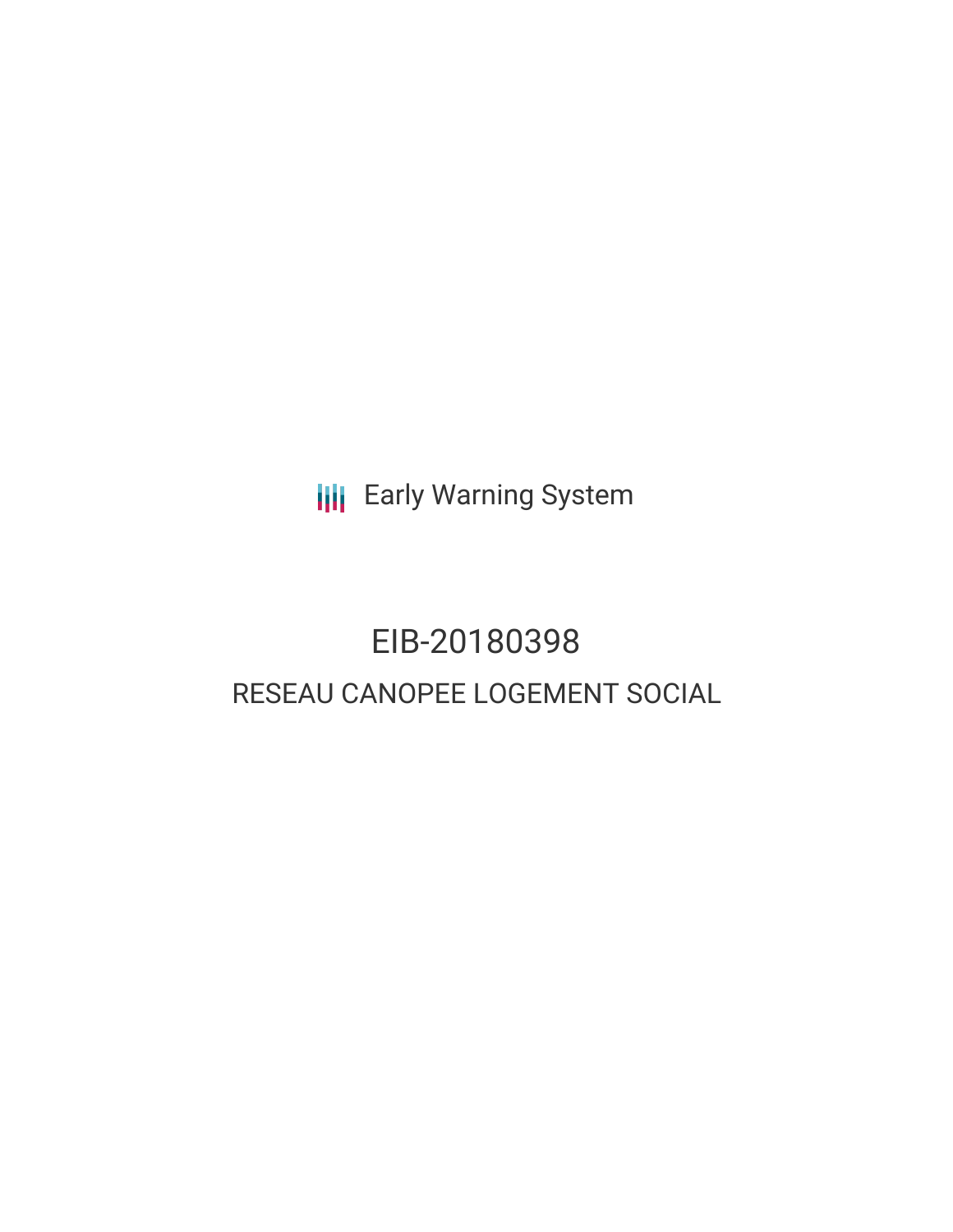**III** Early Warning System

# EIB-20180398 RESEAU CANOPEE LOGEMENT SOCIAL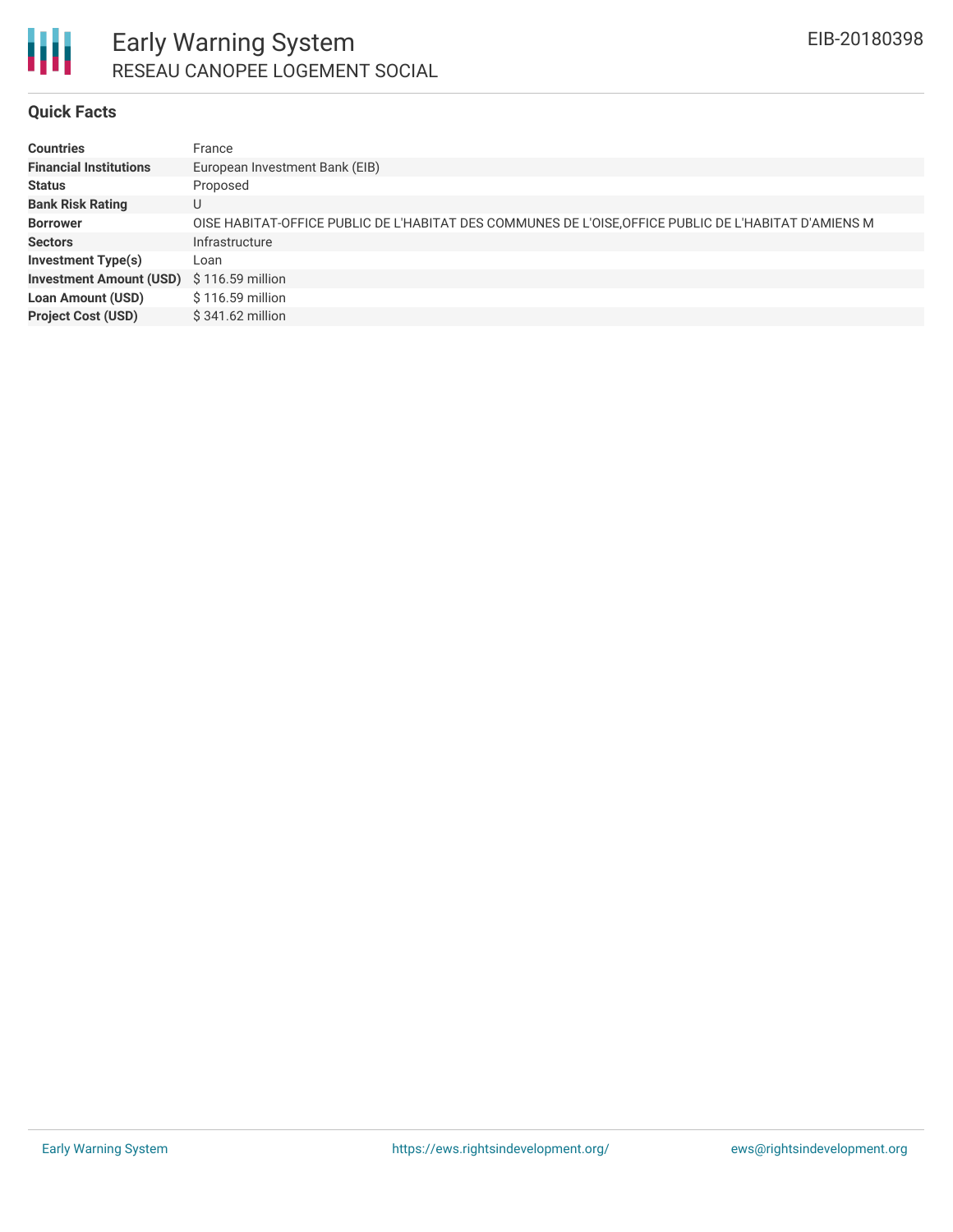



## Early Warning System RESEAU CANOPEE LOGEMENT SOCIAL

### **Quick Facts**

| <b>Countries</b>               | France                                                                                                |
|--------------------------------|-------------------------------------------------------------------------------------------------------|
| <b>Financial Institutions</b>  | European Investment Bank (EIB)                                                                        |
| <b>Status</b>                  | Proposed                                                                                              |
| <b>Bank Risk Rating</b>        | U                                                                                                     |
| <b>Borrower</b>                | OISE HABITAT-OFFICE PUBLIC DE L'HABITAT DES COMMUNES DE L'OISE, OFFICE PUBLIC DE L'HABITAT D'AMIENS M |
| <b>Sectors</b>                 | Infrastructure                                                                                        |
| <b>Investment Type(s)</b>      | Loan                                                                                                  |
| <b>Investment Amount (USD)</b> | \$116.59 million                                                                                      |
| <b>Loan Amount (USD)</b>       | \$116.59 million                                                                                      |
| <b>Project Cost (USD)</b>      | $$341.62$ million                                                                                     |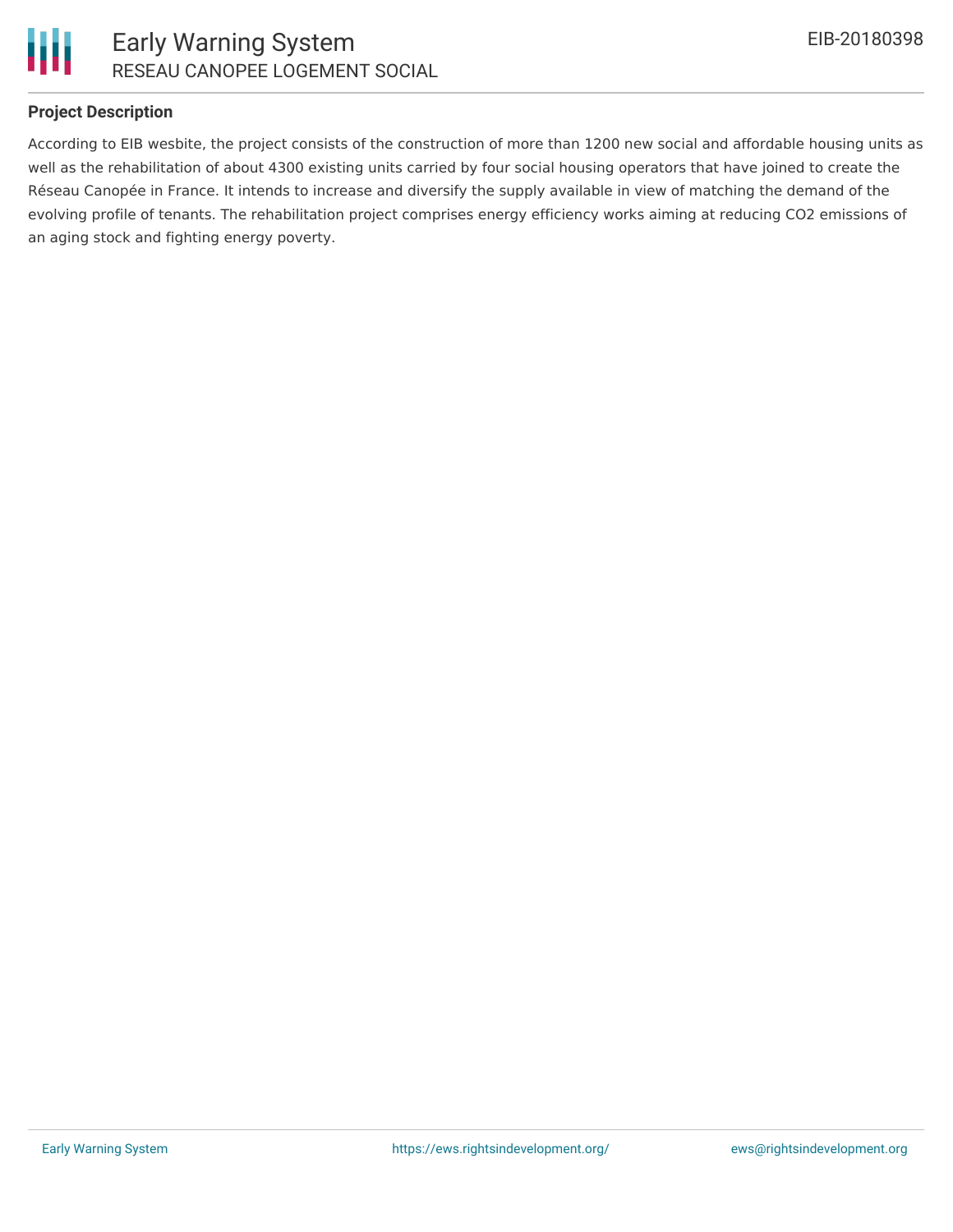

### **Project Description**

According to EIB wesbite, the project consists of the construction of more than 1200 new social and affordable housing units as well as the rehabilitation of about 4300 existing units carried by four social housing operators that have joined to create the Réseau Canopée in France. It intends to increase and diversify the supply available in view of matching the demand of the evolving profile of tenants. The rehabilitation project comprises energy efficiency works aiming at reducing CO2 emissions of an aging stock and fighting energy poverty.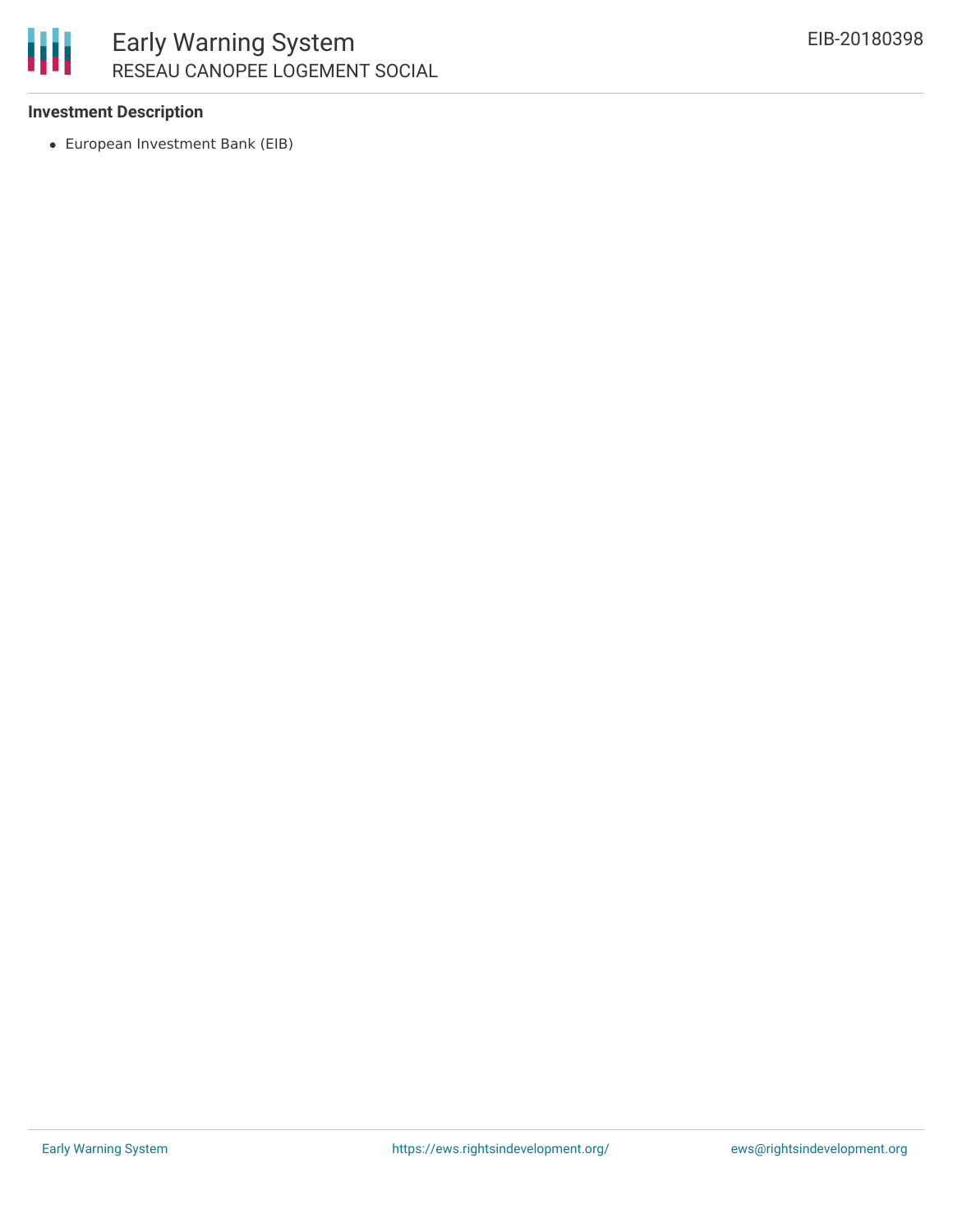

#### **Investment Description**

European Investment Bank (EIB)